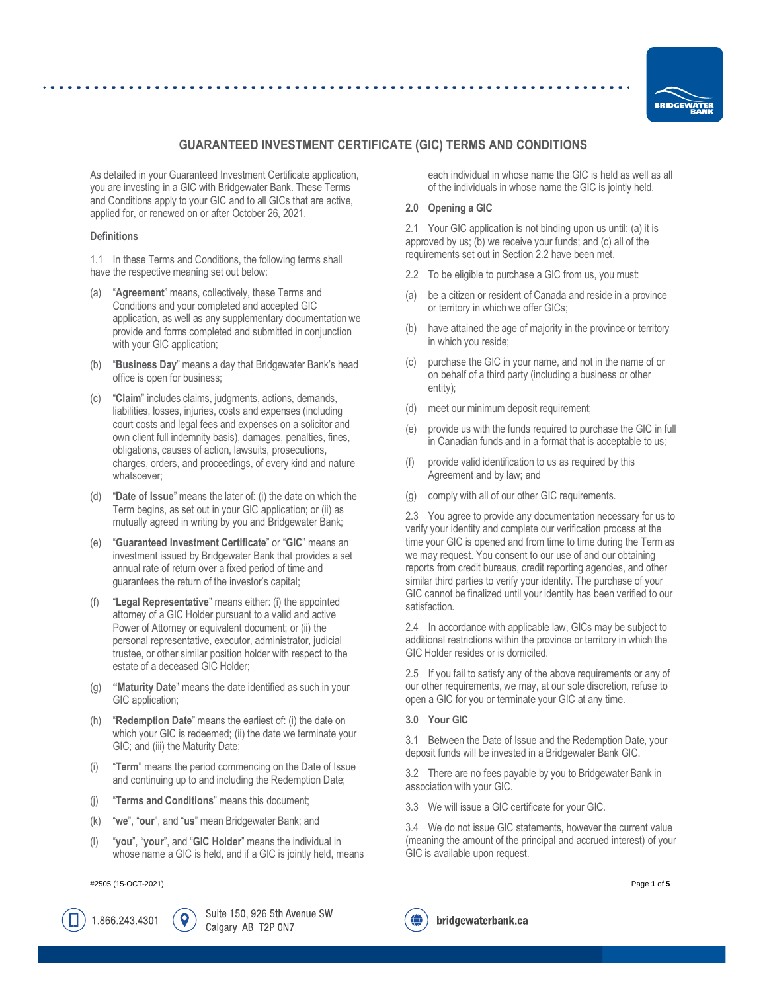

# **GUARANTEED INVESTMENT CERTIFICATE (GIC) TERMS AND CONDITIONS**

As detailed in your Guaranteed Investment Certificate application, you are investing in a GIC with Bridgewater Bank. These Terms and Conditions apply to your GIC and to all GICs that are active, applied for, or renewed on or after October 26, 2021.

## **Definitions**

1.1 In these Terms and Conditions, the following terms shall have the respective meaning set out below:

- (a) "**Agreement**" means, collectively, these Terms and Conditions and your completed and accepted GIC application, as well as any supplementary documentation we provide and forms completed and submitted in conjunction with your GIC application;
- (b) "**Business Day**" means a day that Bridgewater Bank's head office is open for business;
- (c) "**Claim**" includes claims, judgments, actions, demands, liabilities, losses, injuries, costs and expenses (including court costs and legal fees and expenses on a solicitor and own client full indemnity basis), damages, penalties, fines, obligations, causes of action, lawsuits, prosecutions, charges, orders, and proceedings, of every kind and nature whatsoever;
- (d) "**Date of Issue**" means the later of: (i) the date on which the Term begins, as set out in your GIC application; or (ii) as mutually agreed in writing by you and Bridgewater Bank;
- (e) "**Guaranteed Investment Certificate**" or "**GIC**" means an investment issued by Bridgewater Bank that provides a set annual rate of return over a fixed period of time and guarantees the return of the investor's capital;
- (f) "**Legal Representative**" means either: (i) the appointed attorney of a GIC Holder pursuant to a valid and active Power of Attorney or equivalent document; or (ii) the personal representative, executor, administrator, judicial trustee, or other similar position holder with respect to the estate of a deceased GIC Holder;
- (g) **"Maturity Date**" means the date identified as such in your GIC application;
- "**Redemption Date**" means the earliest of: (i) the date on which your GIC is redeemed; (ii) the date we terminate your GIC; and (iii) the Maturity Date;
- (i) "**Term**" means the period commencing on the Date of Issue and continuing up to and including the Redemption Date;
- (j) "**Terms and Conditions**" means this document;
- (k) "**we**", "**our**", and "**us**" mean Bridgewater Bank; and
- (l) "**you**", "**your**", and "**GIC Holder**" means the individual in whose name a GIC is held, and if a GIC is jointly held, means

#2505 (15-OCT-2021) Page **1** of **5**

1.866.243.4301

Suite 150, 926 5th Avenue SW Calgary AB T2P 0N7

each individual in whose name the GIC is held as well as all of the individuals in whose name the GIC is jointly held.

# **2.0 Opening a GIC**

<span id="page-0-1"></span>2.1 Your GIC application is not binding upon us until: (a) it is approved by us; (b) we receive your funds; and (c) all of the requirements set out in Sectio[n 2.2](#page-0-0) have been met.

- <span id="page-0-0"></span>2.2 To be eligible to purchase a GIC from us, you must:
- (a) be a citizen or resident of Canada and reside in a province or territory in which we offer GICs;
- (b) have attained the age of majority in the province or territory in which you reside;
- (c) purchase the GIC in your name, and not in the name of or on behalf of a third party (including a business or other entity);
- (d) meet our minimum deposit requirement;
- (e) provide us with the funds required to purchase the GIC in full in Canadian funds and in a format that is acceptable to us;
- (f) provide valid identification to us as required by this Agreement and by law; and
- (g) comply with all of our other GIC requirements.

2.3 You agree to provide any documentation necessary for us to verify your identity and complete our verification process at the time your GIC is opened and from time to time during the Term as we may request. You consent to our use of and our obtaining reports from credit bureaus, credit reporting agencies, and other similar third parties to verify your identity. The purchase of your GIC cannot be finalized until your identity has been verified to our satisfaction.

2.4 In accordance with applicable law, GICs may be subject to additional restrictions within the province or territory in which the GIC Holder resides or is domiciled.

2.5 If you fail to satisfy any of the above requirements or any of our other requirements, we may, at our sole discretion, refuse to open a GIC for you or terminate your GIC at any time.

<span id="page-0-2"></span>**3.0 Your GIC**

3.1 Between the Date of Issue and the Redemption Date, your deposit funds will be invested in a Bridgewater Bank GIC.

3.2 There are no fees payable by you to Bridgewater Bank in association with your GIC.

3.3 We will issue a GIC certificate for your GIC.

3.4 We do not issue GIC statements, however the current value (meaning the amount of the principal and accrued interest) of your GIC is available upon request.



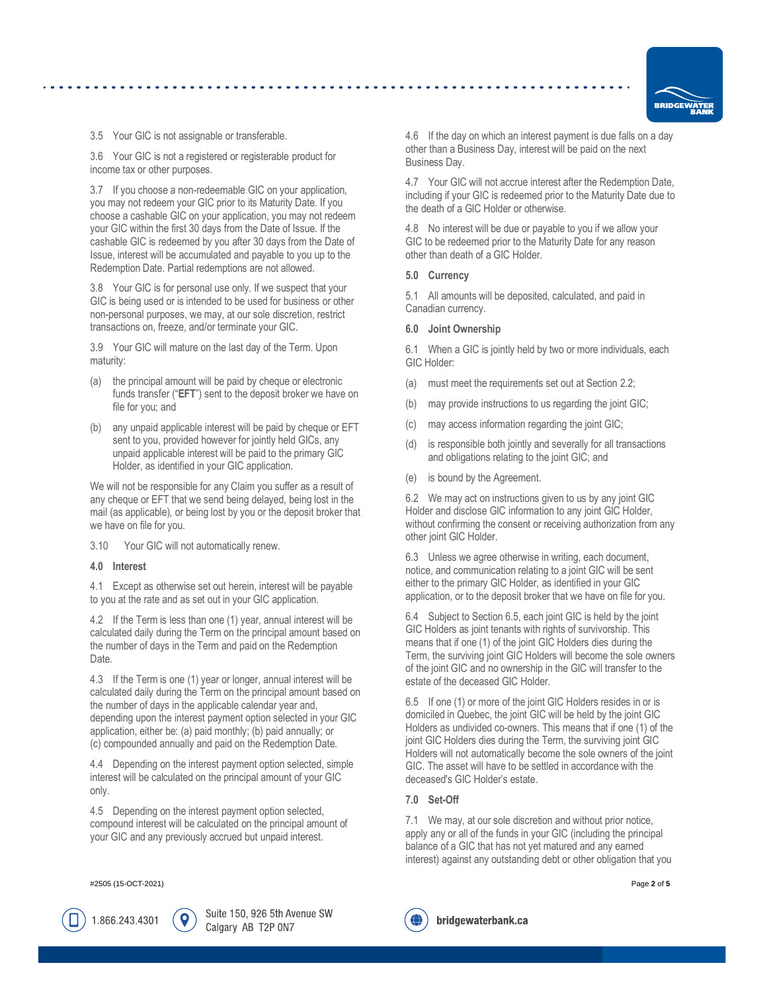

3.5 Your GIC is not assignable or transferable.

3.6 Your GIC is not a registered or registerable product for income tax or other purposes.

3.7 If you choose a non-redeemable GIC on your application, you may not redeem your GIC prior to its Maturity Date. If you choose a cashable GIC on your application, you may not redeem your GIC within the first 30 days from the Date of Issue. If the cashable GIC is redeemed by you after 30 days from the Date of Issue, interest will be accumulated and payable to you up to the Redemption Date. Partial redemptions are not allowed.

3.8 Your GIC is for personal use only. If we suspect that your GIC is being used or is intended to be used for business or other non-personal purposes, we may, at our sole discretion, restrict transactions on, freeze, and/or terminate your GIC.

<span id="page-1-3"></span>3.9 Your GIC will mature on the last day of the Term. Upon maturity:

- (a) the principal amount will be paid by cheque or electronic funds transfer ("**EFT**") sent to the deposit broker we have on file for you; and
- (b) any unpaid applicable interest will be paid by cheque or EFT sent to you, provided however for jointly held GICs, any unpaid applicable interest will be paid to the primary GIC Holder, as identified in your GIC application.

We will not be responsible for any Claim you suffer as a result of any cheque or EFT that we send being delayed, being lost in the mail (as applicable), or being lost by you or the deposit broker that we have on file for you.

3.10 Your GIC will not automatically renew.

## <span id="page-1-4"></span>**4.0 Interest**

4.1 Except as otherwise set out herein, interest will be payable to you at the rate and as set out in your GIC application.

4.2 If the Term is less than one (1) year, annual interest will be calculated daily during the Term on the principal amount based on the number of days in the Term and paid on the Redemption Date.

4.3 If the Term is one (1) year or longer, annual interest will be calculated daily during the Term on the principal amount based on the number of days in the applicable calendar year and, depending upon the interest payment option selected in your GIC application, either be: (a) paid monthly; (b) paid annually; or (c) compounded annually and paid on the Redemption Date.

4.4 Depending on the interest payment option selected, simple interest will be calculated on the principal amount of your GIC only.

4.5 Depending on the interest payment option selected, compound interest will be calculated on the principal amount of your GIC and any previously accrued but unpaid interest.

#2505 (15-OCT-2021) Page **2** of **5**

1.866.243.4301

Suite 150, 926 5th Avenue SW Calgary AB T2P 0N7

4.6 If the day on which an interest payment is due falls on a day other than a Business Day, interest will be paid on the next Business Day.

4.7 Your GIC will not accrue interest after the Redemption Date, including if your GIC is redeemed prior to the Maturity Date due to the death of a GIC Holder or otherwise.

4.8 No interest will be due or payable to you if we allow your GIC to be redeemed prior to the Maturity Date for any reason other than death of a GIC Holder.

## <span id="page-1-5"></span>**5.0 Currency**

5.1 All amounts will be deposited, calculated, and paid in Canadian currency.

#### <span id="page-1-6"></span>**6.0 Joint Ownership**

6.1 When a GIC is jointly held by two or more individuals, each GIC Holder:

- (a) must meet the requirements set out at Sectio[n 2.2;](#page-0-0)
- (b) may provide instructions to us regarding the joint GIC;
- (c) may access information regarding the joint GIC;
- (d) is responsible both jointly and severally for all transactions and obligations relating to the joint GIC; and
- (e) is bound by the Agreement.

6.2 We may act on instructions given to us by any joint GIC Holder and disclose GIC information to any joint GIC Holder, without confirming the consent or receiving authorization from any other joint GIC Holder.

6.3 Unless we agree otherwise in writing, each document, notice, and communication relating to a joint GIC will be sent either to the primary GIC Holder, as identified in your GIC application, or to the deposit broker that we have on file for you.

<span id="page-1-2"></span>6.4 Subject to Sectio[n 6.5,](#page-1-0) each joint GIC is held by the joint GIC Holders as joint tenants with rights of survivorship. This means that if one (1) of the joint GIC Holders dies during the Term, the surviving joint GIC Holders will become the sole owners of the joint GIC and no ownership in the GIC will transfer to the estate of the deceased GIC Holder.

<span id="page-1-0"></span>6.5 If one (1) or more of the joint GIC Holders resides in or is domiciled in Quebec, the joint GIC will be held by the joint GIC Holders as undivided co-owners. This means that if one (1) of the joint GIC Holders dies during the Term, the surviving joint GIC Holders will not automatically become the sole owners of the joint GIC. The asset will have to be settled in accordance with the deceased's GIC Holder's estate.

## <span id="page-1-1"></span>**7.0 Set-Off**

⊕

7.1 We may, at our sole discretion and without prior notice, apply any or all of the funds in your GIC (including the principal balance of a GIC that has not yet matured and any earned interest) against any outstanding debt or other obligation that you

bridgewaterbank.ca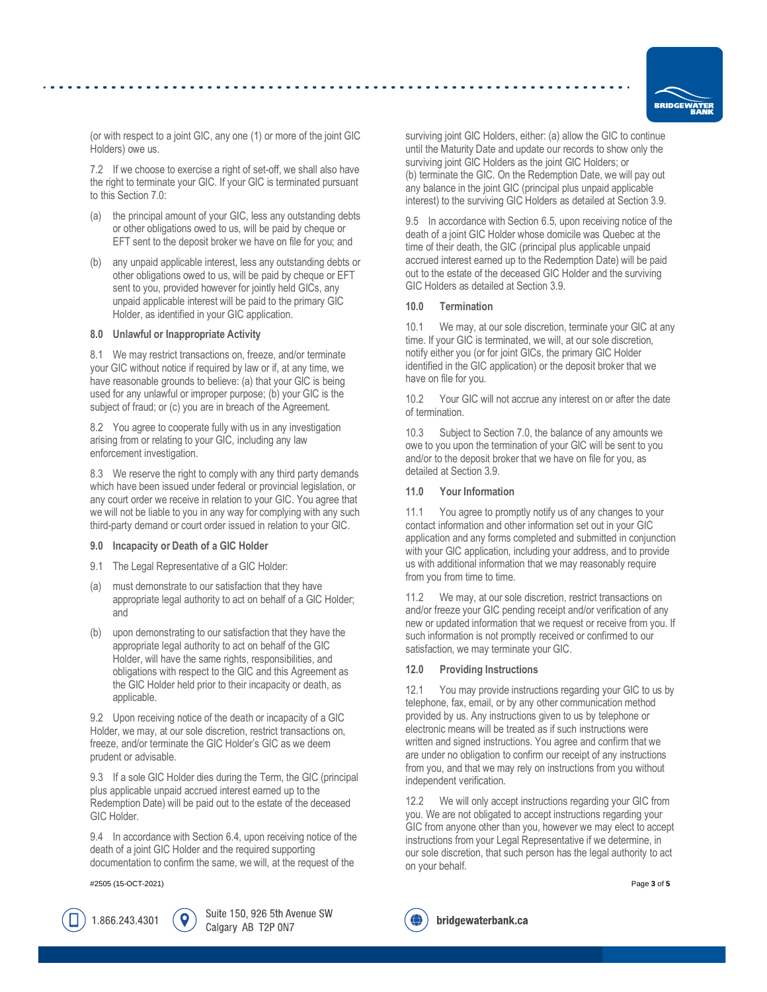

(or with respect to a joint GIC, any one (1) or more of the joint GIC Holders) owe us.

7.2 If we choose to exercise a right of set-off, we shall also have the right to terminate your GIC. If your GIC is terminated pursuant to this Sectio[n 7.0:](#page-1-1)

- (a) the principal amount of your GIC, less any outstanding debts or other obligations owed to us, will be paid by cheque or EFT sent to the deposit broker we have on file for you; and
- (b) any unpaid applicable interest, less any outstanding debts or other obligations owed to us, will be paid by cheque or EFT sent to you, provided however for jointly held GICs, any unpaid applicable interest will be paid to the primary GIC Holder, as identified in your GIC application.

## <span id="page-2-0"></span>**8.0 Unlawful or Inappropriate Activity**

8.1 We may restrict transactions on, freeze, and/or terminate your GIC without notice if required by law or if, at any time, we have reasonable grounds to believe: (a) that your GIC is being used for any unlawful or improper purpose; (b) your GIC is the subject of fraud; or (c) you are in breach of the Agreement.

8.2 You agree to cooperate fully with us in any investigation arising from or relating to your GIC, including any law enforcement investigation.

8.3 We reserve the right to comply with any third party demands which have been issued under federal or provincial legislation, or any court order we receive in relation to your GIC. You agree that we will not be liable to you in any way for complying with any such third-party demand or court order issued in relation to your GIC.

#### <span id="page-2-1"></span>**9.0 Incapacity or Death of a GIC Holder**

- 9.1 The Legal Representative of a GIC Holder:
- must demonstrate to our satisfaction that they have appropriate legal authority to act on behalf of a GIC Holder; and
- (b) upon demonstrating to our satisfaction that they have the appropriate legal authority to act on behalf of the GIC Holder, will have the same rights, responsibilities, and obligations with respect to the GIC and this Agreement as the GIC Holder held prior to their incapacity or death, as applicable.

9.2 Upon receiving notice of the death or incapacity of a GIC Holder, we may, at our sole discretion, restrict transactions on, freeze, and/or terminate the GIC Holder's GIC as we deem prudent or advisable.

9.3 If a sole GIC Holder dies during the Term, the GIC (principal plus applicable unpaid accrued interest earned up to the Redemption Date) will be paid out to the estate of the deceased GIC Holder.

9.4 In accordance with Sectio[n 6.4,](#page-1-2) upon receiving notice of the death of a joint GIC Holder and the required supporting documentation to confirm the same, we will, at the request of the

#2505 (15-OCT-2021) Page **3** of **5**

1.866.243.4301

Suite 150, 926 5th Avenue SW Calgary AB T2P 0N7

surviving joint GIC Holders, either: (a) allow the GIC to continue until the Maturity Date and update our records to show only the surviving joint GIC Holders as the joint GIC Holders; or (b) terminate the GIC. On the Redemption Date, we will pay out any balance in the joint GIC (principal plus unpaid applicable interest) to the surviving GIC Holders as detailed at Sectio[n 3.9.](#page-1-3)

9.5 In accordance with Sectio[n 6.5,](#page-1-0) upon receiving notice of the death of a joint GIC Holder whose domicile was Quebec at the time of their death, the GIC (principal plus applicable unpaid accrued interest earned up to the Redemption Date) will be paid out to the estate of the deceased GIC Holder and the surviving GIC Holders as detailed at Section [3.9.](#page-1-3)

## <span id="page-2-2"></span>**10.0 Termination**

10.1 We may, at our sole discretion, terminate your GIC at any time. If your GIC is terminated, we will, at our sole discretion, notify either you (or for joint GICs, the primary GIC Holder identified in the GIC application) or the deposit broker that we have on file for you.

10.2 Your GIC will not accrue any interest on or after the date of termination.

10.3 Subject to Sectio[n 7.0,](#page-1-1) the balance of any amounts we owe to you upon the termination of your GIC will be sent to you and/or to the deposit broker that we have on file for you, as detailed at Section [3.9.](#page-1-3)

## <span id="page-2-3"></span>**11.0 Your Information**

11.1 You agree to promptly notify us of any changes to your contact information and other information set out in your GIC application and any forms completed and submitted in conjunction with your GIC application, including your address, and to provide us with additional information that we may reasonably require from you from time to time.

11.2 We may, at our sole discretion, restrict transactions on and/or freeze your GIC pending receipt and/or verification of any new or updated information that we request or receive from you. If such information is not promptly received or confirmed to our satisfaction, we may terminate your GIC.

## **12.0 Providing Instructions**

12.1 You may provide instructions regarding your GIC to us by telephone, fax, email, or by any other communication method provided by us. Any instructions given to us by telephone or electronic means will be treated as if such instructions were written and signed instructions. You agree and confirm that we are under no obligation to confirm our receipt of any instructions from you, and that we may rely on instructions from you without independent verification.

12.2 We will only accept instructions regarding your GIC from you. We are not obligated to accept instructions regarding your GIC from anyone other than you, however we may elect to accept instructions from your Legal Representative if we determine, in our sole discretion, that such person has the legal authority to act on your behalf.

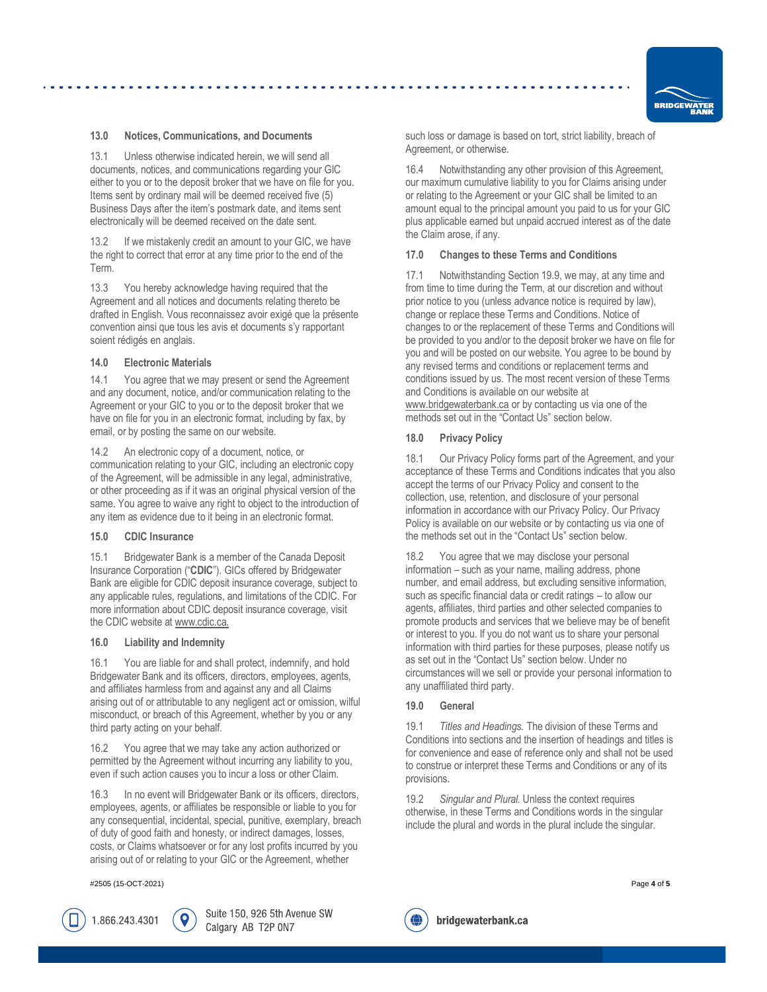

## <span id="page-3-0"></span>**13.0 Notices, Communications, and Documents**

13.1 Unless otherwise indicated herein, we will send all documents, notices, and communications regarding your GIC either to you or to the deposit broker that we have on file for you. Items sent by ordinary mail will be deemed received five (5) Business Days after the item's postmark date, and items sent electronically will be deemed received on the date sent.

13.2 If we mistakenly credit an amount to your GIC, we have the right to correct that error at any time prior to the end of the Term.

13.3 You hereby acknowledge having required that the Agreement and all notices and documents relating thereto be drafted in English. Vous reconnaissez avoir exigé que la présente convention ainsi que tous les avis et documents s'y rapportant soient rédigés en anglais.

## <span id="page-3-1"></span>**14.0 Electronic Materials**

14.1 You agree that we may present or send the Agreement and any document, notice, and/or communication relating to the Agreement or your GIC to you or to the deposit broker that we have on file for you in an electronic format, including by fax, by email, or by posting the same on our website.

14.2 An electronic copy of a document, notice, or communication relating to your GIC, including an electronic copy of the Agreement, will be admissible in any legal, administrative, or other proceeding as if it was an original physical version of the same. You agree to waive any right to object to the introduction of any item as evidence due to it being in an electronic format.

#### **15.0 CDIC Insurance**

15.1 Bridgewater Bank is a member of the Canada Deposit Insurance Corporation ("**CDIC**"). GICs offered by Bridgewater Bank are eligible for CDIC deposit insurance coverage, subject to any applicable rules, regulations, and limitations of the CDIC. For more information about CDIC deposit insurance coverage, visit the CDIC website a[t www.cdic.ca.](http://www.cdic.ca/)

#### <span id="page-3-2"></span>**16.0 Liability and Indemnity**

16.1 You are liable for and shall protect, indemnify, and hold Bridgewater Bank and its officers, directors, employees, agents, and affiliates harmless from and against any and all Claims arising out of or attributable to any negligent act or omission, wilful misconduct, or breach of this Agreement, whether by you or any third party acting on your behalf.

16.2 You agree that we may take any action authorized or permitted by the Agreement without incurring any liability to you, even if such action causes you to incur a loss or other Claim.

16.3 In no event will Bridgewater Bank or its officers, directors, employees, agents, or affiliates be responsible or liable to you for any consequential, incidental, special, punitive, exemplary, breach of duty of good faith and honesty, or indirect damages, losses, costs, or Claims whatsoever or for any lost profits incurred by you arising out of or relating to your GIC or the Agreement, whether

#2505 (15-OCT-2021) Page **4** of **5**

1.866.243.4301

Suite 150, 926 5th Avenue SW Calgary AB T2P 0N7

such loss or damage is based on tort, strict liability, breach of Agreement, or otherwise.

16.4 Notwithstanding any other provision of this Agreement, our maximum cumulative liability to you for Claims arising under or relating to the Agreement or your GIC shall be limited to an amount equal to the principal amount you paid to us for your GIC plus applicable earned but unpaid accrued interest as of the date the Claim arose, if any.

#### **17.0 Changes to these Terms and Conditions**

17.1 Notwithstanding Sectio[n 19.9,](#page-4-0) we may, at any time and from time to time during the Term, at our discretion and without prior notice to you (unless advance notice is required by law), change or replace these Terms and Conditions. Notice of changes to or the replacement of these Terms and Conditions will be provided to you and/or to the deposit broker we have on file for you and will be posted on our website. You agree to be bound by any revised terms and conditions or replacement terms and conditions issued by us. The most recent version of these Terms and Conditions is available on our website at [www.bridgewaterbank.ca](http://www.bridgewaterbank.ca/) or by contacting us via one of the methods set out in the "Contact Us" section below.

#### <span id="page-3-3"></span>**18.0 Privacy Policy**

18.1 Our Privacy Policy forms part of the Agreement, and your acceptance of these Terms and Conditions indicates that you also accept the terms of our Privacy Policy and consent to the collection, use, retention, and disclosure of your personal information in accordance with our Privacy Policy. Our Privacy Policy is available on our website or by contacting us via one of the methods set out in the "Contact Us" section below.

18.2 You agree that we may disclose your personal information – such as your name, mailing address, phone number, and email address, but excluding sensitive information, such as specific financial data or credit ratings – to allow our agents, affiliates, third parties and other selected companies to promote products and services that we believe may be of benefit or interest to you. If you do not want us to share your personal information with third parties for these purposes, please notify us as set out in the "Contact Us" section below. Under no circumstances will we sell or provide your personal information to any unaffiliated third party.

## <span id="page-3-4"></span>**19.0 General**

19.1 *Titles and Headings.* The division of these Terms and Conditions into sections and the insertion of headings and titles is for convenience and ease of reference only and shall not be used to construe or interpret these Terms and Conditions or any of its provisions.

19.2 *Singular and Plural.* Unless the context requires otherwise, in these Terms and Conditions words in the singular include the plural and words in the plural include the singular.